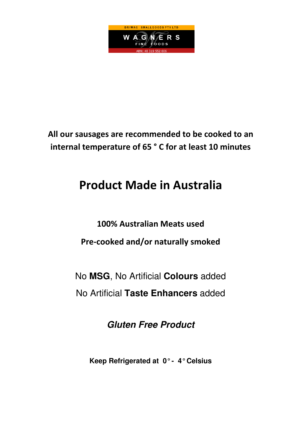

## All our sausages are recommended to be cooked to an internal temperature of 65 ° C for at least 10 minutes

# **Product Made in Australia**

100% Australian Meats used Pre-cooked and/or naturally smoked

No **MSG**, No Artificial **Colours** added No Artificial **Taste Enhancers** added

**Gluten Free Product** 

**Keep Refrigerated at 0° - 4° Celsius**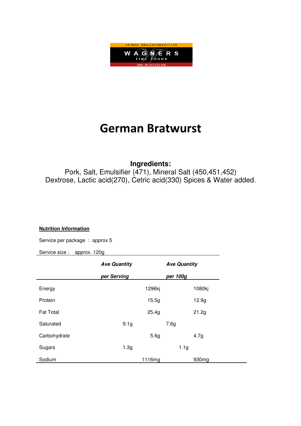

## **German Bratwurst**

### **Ingredients:**

Pork, Salt, Emulsifier (471), Mineral Salt (450,451,452) Dextrose, Lactic acid(270), Cetric acid(330) Spices & Water added.

#### **Nutrition Information**

Service per package : approx 5

|                  | <b>Ave Quantity</b> |                  | <b>Ave Quantity</b> |                   |
|------------------|---------------------|------------------|---------------------|-------------------|
|                  | per Serving         |                  | per 100g            |                   |
| Energy           |                     | 1296kj           |                     | 1080kj            |
| Protein          |                     | 15.5g            |                     | 12.9g             |
| <b>Fat Total</b> |                     | 25.4g            |                     | 21.2g             |
| Saturated        | 9.1 <sub>g</sub>    |                  | 7.6g                |                   |
| Carbohydrate     |                     | 5.6 <sub>g</sub> |                     | 4.7g              |
| Sugars           | 1.3 <sub>g</sub>    |                  | 1.1 <sub>g</sub>    |                   |
| Sodium           |                     | 1116mg           |                     | 930 <sub>mg</sub> |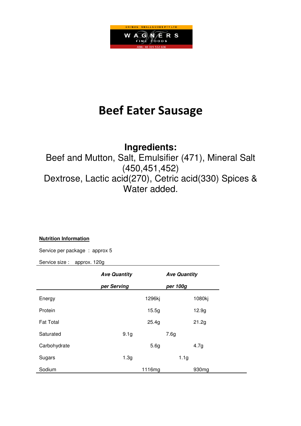

## **Beef Eater Sausage**

## **Ingredients:**

Beef and Mutton, Salt, Emulsifier (471), Mineral Salt (450,451,452) Dextrose, Lactic acid(270), Cetric acid(330) Spices & Water added.

#### **Nutrition Information**

Service per package : approx 5

|                  | <b>Ave Quantity</b> |        | <b>Ave Quantity</b> |                   |
|------------------|---------------------|--------|---------------------|-------------------|
|                  | per Serving         |        | per 100g            |                   |
| Energy           |                     | 1296kj |                     | 1080kj            |
| Protein          |                     | 15.5g  |                     | 12.9 <sub>g</sub> |
| <b>Fat Total</b> |                     | 25.4g  |                     | 21.2g             |
| Saturated        | 9.1 <sub>g</sub>    |        | 7.6g                |                   |
| Carbohydrate     |                     | 5.6g   |                     | 4.7g              |
| Sugars           | 1.3 <sub>g</sub>    |        | 1.1 <sub>g</sub>    |                   |
| Sodium           |                     | 1116mg |                     | 930 <sub>mg</sub> |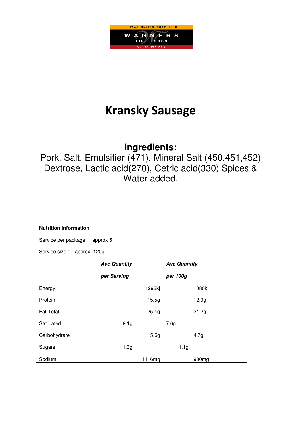

## **Kransky Sausage**

### **Ingredients:**

Pork, Salt, Emulsifier (471), Mineral Salt (450,451,452) Dextrose, Lactic acid(270), Cetric acid(330) Spices & Water added.

#### **Nutrition Information**

Service per package : approx 5

|                  | <b>Ave Quantity</b> |        | <b>Ave Quantity</b> |                   |
|------------------|---------------------|--------|---------------------|-------------------|
|                  | per Serving         |        | per 100g            |                   |
| Energy           |                     | 1296kj |                     | 1080kj            |
| Protein          |                     | 15.5g  |                     | 12.9 <sub>g</sub> |
| <b>Fat Total</b> |                     | 25.4g  |                     | 21.2g             |
| Saturated        | 9.1 <sub>g</sub>    |        | 7.6g                |                   |
| Carbohydrate     |                     | 5.6g   |                     | 4.7g              |
| Sugars           | 1.3g                |        | 1.1 <sub>g</sub>    |                   |
| Sodium           |                     | 1116mg |                     | 930 <sub>mg</sub> |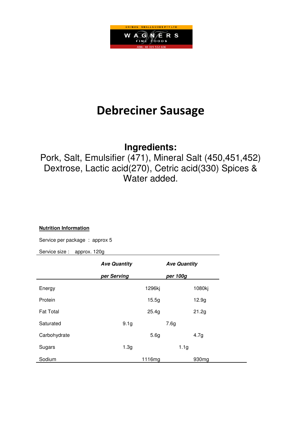

## **Debreciner Sausage**

### **Ingredients:**

Pork, Salt, Emulsifier (471), Mineral Salt (450,451,452) Dextrose, Lactic acid(270), Cetric acid(330) Spices & Water added.

#### **Nutrition Information**

Service per package : approx 5

|                  | <b>Ave Quantity</b> |                  | <b>Ave Quantity</b> |                   |
|------------------|---------------------|------------------|---------------------|-------------------|
|                  | per Serving         |                  | per 100g            |                   |
| Energy           |                     | 1296kj           |                     | 1080kj            |
| Protein          |                     | 15.5g            |                     | 12.9 <sub>g</sub> |
| <b>Fat Total</b> |                     | 25.4g            |                     | 21.2g             |
| Saturated        | 9.1 <sub>g</sub>    |                  | 7.6g                |                   |
| Carbohydrate     |                     | 5.6 <sub>g</sub> |                     | 4.7g              |
| Sugars           | 1.3g                |                  | 1.1 <sub>g</sub>    |                   |
| Sodium           |                     | 1116mg           |                     | 930mg             |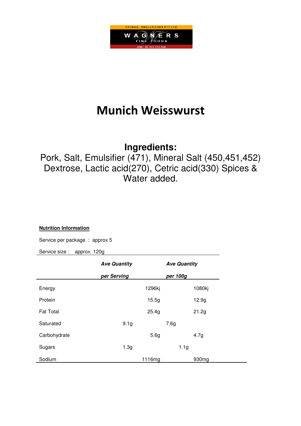

## **Munich Weisswurst**

### **Ingredients:**

Pork, Salt, Emulsifier (471), Mineral Salt (450,451,452) Dextrose, Lactic acid(270), Cetric acid(330) Spices & Water added.

#### **Nutrition Information**

Service per package : approx 5

|                  | <b>Ave Quantity</b> |                  | <b>Ave Quantity</b> |                   |
|------------------|---------------------|------------------|---------------------|-------------------|
|                  | per Serving         |                  | per 100g            |                   |
| Energy           |                     | 1296kj           |                     | 1080kj            |
| Protein          |                     | 15.5g            |                     | 12.9 <sub>g</sub> |
| <b>Fat Total</b> |                     | 25.4g            |                     | 21.2g             |
| Saturated        | 9.1 <sub>g</sub>    |                  | 7.6g                |                   |
| Carbohydrate     |                     | 5.6 <sub>g</sub> |                     | 4.7g              |
| Sugars           | 1.3 <sub>g</sub>    |                  | 1.1 <sub>g</sub>    |                   |
| Sodium           |                     | 1116mg           |                     | 930 <sub>mg</sub> |